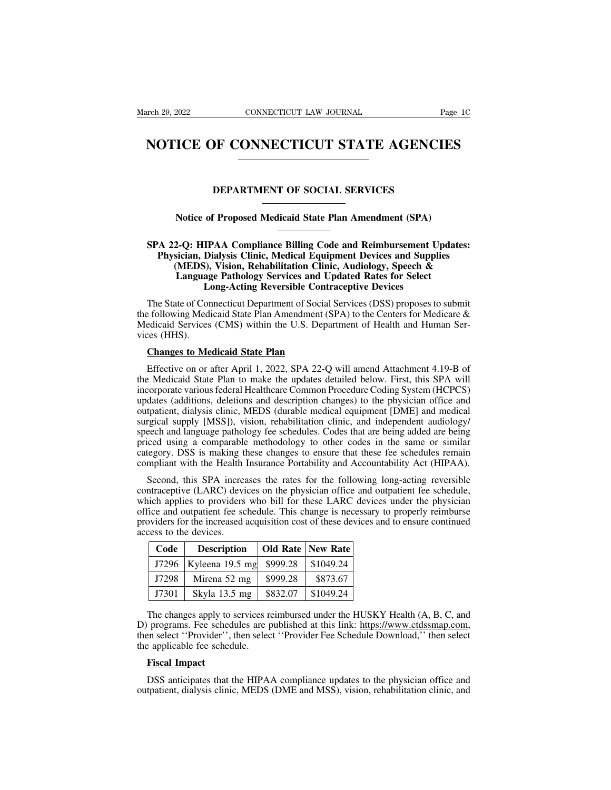# **NOTICE OF CONNECTICUT STATE AGENCIES NOTICE OF CONNECTICUT STATE AGENCIES**<br>
DEPARTMENT OF SOCIAL SERVICES<br>
Notice of Proposed Medicaid State Plan Amendment (SPA) **NOTICE OF CONNECTICOT STATE AGENCIES**<br> **Notice of Proposed Medicaid State Plan Amendment (SPA)**<br> **Notice of Proposed Medicaid State Plan Amendment (SPA)**

### **SPA 22-Q: HIPAA Compliance Billing Code and Reimbursement Updates:**<br>Physician, Dialysis Clinic, Medical Equipment Devices and Supplies<br>(MEDS), Vision, Rehabilitation Clinic, Audiology, Speech & **PHARTMENT OF SOCIAL SERVICES**<br>
Notice of Proposed Medicaid State Plan Amendment (SPA)<br>
A 22-Q: HIPAA Compliance Billing Code and Reimbursement Updates:<br>
Physician, Dialysis Clinic, Medical Equipment Devices and Supplies<br> **Motice of Proposed Medicaid State Plan Amendment (SPA)**<br> **2-Q: HIPAA Compliance Billing Code and Reimbursement Updates:**<br>
sician, Dialysis Clinic, Medical Equipment Devices and Supplies<br>
(MEDS), Vision, Rehabilitation Cli **Notice of Proposed Medicaid State Plan Amendment (SPA)**<br> **L-Q: HIPAA Compliance Billing Code and Reimbursement Update**<br> **Language Pathology Services and Updated Rates for Select**<br> **Language Pathology Services and Updated** of Proposed Medicaid State Plan Amendment (SPA)<br> **LONGAC Compliance Billing Code and Reimbursement U**<br>
Dialysis Clinic, Medical Equipment Devices and Suppl<br>
(b), Vision, Rehabilitation Clinic, Audiology, Speech &<br>
age Path SPA 22-Q: HIPAA Compliance Billing Code and Reimbursement Updates:<br>
Physician, Dialysis Clinic, Medical Equipment Devices and Supplies<br>
(MEDS), Vision, Rehabilitation Clinic, Audiology, Speech &<br>
Language Pathology Service SPA 22-Q: HIPAA Compliance Billing Code and Reimbursement Updates:<br>
Physician, Dialysis Clinic, Medical Equipment Devices and Supplies<br>
(MEDS), Vision, Rehabilitation Clinic, Audiology, Speech &<br>
Language Pathology Service

**Physician, Dialysis Clinic, Medical Equipment Devices and Supplies**<br>
(MEDS), Vision, Rehabilitation Clinic, Audiology, Speech &<br>
Language Pathology Services and Updated Rates for Select<br>
Long-Acting Reversible Contracepti (MEDS),<br>
Languag<br>
Le<br>
The State of Conte<br>
the following Medi<br>
Medicaid Services<br>
vices (HHS).<br>
Changes to Me **Connection**<br> **Connection**<br> **Connection**<br> **Connection**<br> **Connection**<br> **Connection**<br> **Connection**<br> **Conserved State Plan**<br> **Changes to Medicaid State Plan**<br> **Changes to Medicaid State Plan**<br> **Conserved State Plan**<br> **Conserv** The State of Connecticut Department of Social Services (DSS) proposes to submit<br>
Efollowing Medicaid State Plan Amendment (SPA) to the Centers for Medicare &<br>
edicaid Services (CMS) within the U.S. Department of Health and

the following Medicaid State Plan Amendment (SPA) to the Centers for Medicare &<br>Medicaid Services (CMS) within the U.S. Department of Health and Human Services (HHS).<br>Changes to Medicaid State Plan<br>Effective on or after Ap Medicaid Services (CMS) within the U.S. Department of Health and Human Services (HHS).<br> **Changes to Medicaid State Plan**<br>
Effective on or after April 1, 2022, SPA 22-Q will amend Attachment 4.19-B of<br>
the Medicaid State Pl vices (HHS).<br> **Changes to Medicaid State Plan**<br>
Effective on or after April 1, 2022, SPA 22-Q will amend Attachment 4.19-B of<br>
the Medicaid State Plan to make the updates detailed below. First, this SPA will<br>
incorporate v Changes to Medicaid State Plan<br>
Effective on or after April 1, 2022, SPA 22-Q will amend Attachment 4.19-B of<br>
the Medicaid State Plan to make the updates detailed below. First, this SPA will<br>
incorporate various federal H **Changes to Medicaid State Plan**<br>Effective on or after April 1, 2022, SPA 22-Q will amend Attachment 4.19-B of<br>the Medicaid State Plan to make the updates detailed below. First, this SPA will<br>incorporate various federal He Effective on or after April 1, 2022, SPA 22-Q will amend Attachment 4.19-B of<br>the Medicaid State Plan to make the updates detailed below. First, this SPA will<br>incorporate various federal Healthcare Common Procedure Coding Encetive of or after April 1, 2022, Sr A 22-Q win affective Artachment 4.19-B of<br>the Medicaid State Plan to make the updates detailed below. First, this SPA will<br>incorporate various federal Healthcare Common Procedure Codi incorporate various federal Healthcare Common Procedure Coding System (HCPCS)<br>updates (additions, deletions and description changes) to the physician office and<br>outpatient, dialysis clinic, MEDS (durable medical equipment meorporate various federal ricalmeate common riocedure counig system (ricit es)<br>updates (additions, deletions and description changes) to the physician office and<br>outpatient, dialysis clinic, MEDS (durable medical equipmen tpatient, dialysis clinic, MEDS (durable medical equipment [DME] and medical<br>rgical supply [MSS]), vision, rehabilitation clinic, and independent audiology/<br>eech and language pathology fee schedules. Codes that are being a surgical supply [MSS]), vision, rehabilitation clinic, and independent audiology/<br>speech and language pathology fee schedules. Codes that are being added are being<br>priced using a comparable methodology to other codes in th

speech and language pathology fee schedules. Codes that are being added are being<br>priced using a comparable methodology to other codes in the same or similar<br>category. DSS is making these changes to ensure that these fee s priced using a comparable methodology to other codes in the same or similar category. DSS is making these changes to ensure that these fee schedules remain compliant with the Health Insurance Portability and Accountability category. DSS is making these changes to ensure that these fee schedules remain<br>compliant with the Health Insurance Portability and Accountability Act (HIPAA).<br>Second, this SPA increases the rates for the following long-ac compliant with the Health<br>
Second, this SPA increase<br>
contraceptive (LARC) devi<br>
which applies to providers<br>
office and outpatient fee sc<br>
providers for the increased access<br>
to the devices.<br>
Code Description Example, this SPA increases the rates for the following lot caceptive (LARC) devices on the physician office and outph applies to providers who bill for these LARC devices e and outpatient fee schedule. This change is nece Example CEARC devices of the physician office and outp<br>th applies to providers who bill for these LARC devices to<br>e and outpatient fee schedule. This change is necessary to<br>iders for the increased acquisition cost of these

| Code  | <b>Description</b> |          | <b>Old Rate   New Rate  </b> |
|-------|--------------------|----------|------------------------------|
| J7296 | Kyleena 19.5 mg    | \$999.28 | \$1049.24                    |
| J7298 | Mirena 52 mg       | \$999.28 | \$873.67                     |
| J7301 | Skyla 13.5 mg      | \$832.07 | \$1049.24                    |

17296 Kyleena 19.5 mg \$999.28 \$1049.24<br>
17298 Mirena 52 mg \$999.28 \$873.67<br>
17301 Skyla 13.5 mg \$832.07 \$1049.24<br>
The changes apply to services reimbursed under the HUSKY Health (A, B, C, and<br>
D) programs. Fee schedules ar  $\begin{array}{|l|l|}\n\hline\n & \text{J7296} & \text{Nyleena 19.5 mg} & \text{3999.28} & \text{31049.24} \\
\hline\n & \text{J7301} & \text{Skyla 13.5 mg} & \text{3832.07} & \text{31049.24} \\
\hline\n\end{array}$ The changes apply to services reimbursed under the HUSKY Health (A, B, C, and<br>
D) programs Trapple Mirena 52 mg<br>
Trapply 13.5 mg<br>
The changes apply to services ro<br>
The changes apply to services ro<br>
D) programs. Fee schedules are p<br>
then select "Provider", then select<br>
the applicable fee schedule.<br>
Fiscal Impact **Figure 13.5**<br>The changes apply to s<br>programs. Fee sched<br>en select "Provider", to<br>applicable fee sched<br>**Fiscal Impact**<br>DSS anticipates that the The changes apply to services reimbursed under the HUSKY Health (A, B, C, and<br>programs. Fee schedules are published at this link: https://www.ctdssmap.com,<br>en select "Provider", then select "Provider Fee Schedule Download, D) programs. Fee schedules are published at this link: https://www.ctdssmap.com, then select "Provider", then select "Provider Fee Schedule Download," then select the applicable fee schedule.<br> **Fiscal Impact**<br>
DSS anticipa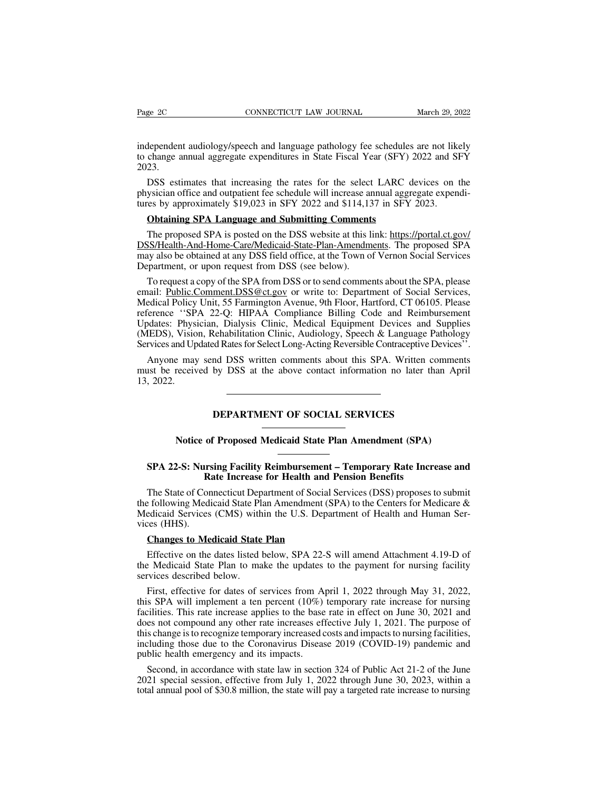Page 2C CONNECTICUT LAW JOURNAL March 29, 2022<br>independent audiology/speech and language pathology fee schedules are not likely<br>to change annual aggregate expenditures in State Fiscal Year (SFY) 2022 and SFY<br>2023. The connect connect change and alternative method of the select I ARC devices on the property consistent and aggregate expenditures in State Fiscal Year (SFY) 2022 and SFY 2023. 2023.

ge 2C CONNECTICUT LAW JOURNAL March 29, 2022<br>dependent audiology/speech and language pathology fee schedules are not likely<br>change annual aggregate expenditures in State Fiscal Year (SFY) 2022 and SFY<br>23.<br>DSS estimates tha independent audiology/speech and language pathology fee schedules are not likely<br>to change annual aggregate expenditures in State Fiscal Year (SFY) 2022 and SFY<br>2023.<br>DSS estimates that increasing the rates for the select independent audiology/speech and language pathology fee schedules are not like<br>to change annual aggregate expenditures in State Fiscal Year (SFY) 2022 and SI<br>2023.<br>DSS estimates that increasing the rates for the select LAR External and approximately and anguage pathology is eschedule:<br>
change annual aggregate expenditures in State Fiscal Year (SFY)<br>
23.<br>
DSS estimates that increasing the rates for the select LARC of<br>
ysician office and outpa

23.<br>
DSS estimates that increasing the rates for the select LARC devices on the<br>
ysician office and outpatient fee schedule will increase annual aggregate expendi-<br>
es by approximately \$19,023 in SFY 2022 and \$114,137 in S DSS estimates that increasing the rates for the select LARC devices on the physician office and outpatient fee schedule will increase annual aggregate expenditures by approximately \$19,023 in SFY 2022 and \$114,137 in SFY 2 Designates that increasing the rates for the select EARC devices on the<br>physician office and outpatient fee schedule will increase annual aggregate expendi-<br>tures by approximately \$19,023 in SFY 2022 and \$114,137 in SFY 20 physician office and outpatient ree schedule with increase and<br>tures by approximately \$19,023 in SFY 2022 and \$114,13<br>**Obtaining SPA Language and Submitting Comment**<br>The proposed SPA is posted on the DSS website at this 1<br> **Obtaining SPA Language and Submitting Comments**<br>The proposed SPA is posted on the DSS website at this link: https://portal.ct.gov/<br>SS/Health-And-Home-Care/Medicaid-State-Plan-Amendments. The proposed SPA<br>ay also be obtain

The proposed SPA is posted on the DSS website at this link: https://portal.ct.gov/<br>DSS/Health-And-Home-Care/Medicaid-State-Plan-Amendments. The proposed SPA<br>may also be obtained at any DSS field office, at the Town of Vern The proposed SPA is posted on the DSS website at this link: https://portal.ct.gov/<br>DSS/Health-And-Home-Care/Medicaid-State-Plan-Amendments. The proposed SPA<br>may also be obtained at any DSS field office, at the Town of Vern **DSS/Health-And-Home-Care/Medicaid-State-Plan-Amendments**. The proposed SPA may also be obtained at any DSS field office, at the Town of Vernon Social Services Department, or upon request from DSS (see below).<br>To request a may also be obtained at any DSS field office, at the Town of Vernon Social Services<br>Department, or upon request from DSS (see below).<br>To request a copy of the SPA from DSS or to send comments about the SPA, please<br>email: <u></u> Department, or upon request from DSS (see below).<br>
To request a copy of the SPA from DSS or to send comments about the SPA, please<br>
email: <u>Public.Comment.DSS@ct.gov</u> or write to: Department of Social Services,<br>
Medical Po To request a copy of the SPA from DSS or to send comments about the SPA, please email: <u>Public.Comment.DSS@ct.gov</u> or write to: Department of Social Services, Medical Policy Unit, 55 Farmington Avenue, 9th Floor, Hartford, nail: <u>Public.Comment.DSS@ct.gov</u> or write to: Department of Social Services, edical Policy Unit, 55 Farmington Avenue, 9th Floor, Hartford, CT 06105. Please ference "SPA 22-Q: HIPAA Compliance Billing Code and Reimburseme Medical Policy Unit, 55 Farmington Avenue, 9th Floor, Hartford, CT 06105. Please<br>reference "SPA 22-Q: HIPAA Compliance Billing Code and Reimbursement<br>Updates: Physician, Dialysis Clinic, Medical Equipment Devices and Suppl reference "SP<br>
Updates: Phys<br>
(MEDS), Visio<br>
Services and Up<br>
Anyone may<br>
must be receiv<br>
13, 2022.

Example 20 Rates for Select Long-Acting Reversible Contraceptive Development about this SPA. Written complex and DSS written comments about this SPA. Written complex and DSS at the above contact information no later than<br> received by DSS at the above contact information no later than Ap<br> **Notice of Proposed Medicaid State Plan Amendment (SPA)**<br>
Notice of Proposed Medicaid State Plan Amendment (SPA)<br>
2. St. Nursing Easility Peimbursement Tem

## **SPA 22-S: Nursing Facility Reimbursement – Temporary Rate Increase and<br>
References of Proposed Medicaid State Plan Amendment (SPA)<br>
SPA 22-S: Nursing Facility Reimbursement – Temporary Rate Increase and<br>
Rate Increase for RATE INCREAST OF SOCIAL SERVICES**<br> **Rate Increase Medicaid State Plan Amendment (SPA)**<br> **Rate Increase for Health and Pension Benefits**<br> **Rate Increase for Health and Pension Benefits**<br> **CONS** proposes to<br> **Rate Increase**

Notice of Proposed Medicaid State Plan Amendment (SPA)<br>
SPA 22-S: Nursing Facility Reimbursement – Temporary Rate Increase and<br>
Rate Increase for Health and Pension Benefits<br>
The State of Connecticut Department of Social S Notice of Proposed Medicaid State Plan Amendment (SPA)<br>
SPA 22-S: Nursing Facility Reimbursement – Temporary Rate Increase and<br>
Rate Increase for Health and Pension Benefits<br>
The State of Connecticut Department of Social S SPA 22-S: Nursing Facility Reimbursement – Temporary Rate Increase and<br>Rate Increase for Health and Pension Benefits<br>The State of Connecticut Department of Social Services (DSS) proposes to submit<br>the following Medicaid St **SPA 22-S: Nurs**<br> **R**<br>
The State of Conte<br>
the following Medi<br>
Medicaid Services<br>
vices (HHS).<br>
Changes to Me **Changes 19 SPA 22-3: Nursing Facinty Reinbursement**<br> **Changes for Health and I**<br>
The State of Connecticut Department of Social set of Connecticut Department of Social set<br>
redicaid Services (CMS) within the U.S. Departies The State of Connecticut Department of Social Services (DSS) proposes to submit<br>
Effective on the dicaid State Plan Amendment (SPA) to the Centers for Medicare &<br>
edicaid Services (CMS) within the U.S. Department of Health The state of Connecticut Department of Social Services (DSS) proposes to storm<br>the following Medicaid State Plan Amendment (SPA) to the Centers for Medicare &<br>Medicaid Services (CMS) within the U.S. Department of Health an

The following Medical State Fr<br>
Medicaid Services (CMS) with<br>
vices (HHS).<br> **Changes to Medicaid State**<br>
Effective on the dates listed<br>
the Medicaid State Plan to ma<br>
services described below.<br>
First, effective for dates o

ces (HHS).<br> **Changes to Medicaid State Plan**<br>
Effective on the dates listed below, SPA 22-S will amend Attachment 4.19-D of<br>
Expedicaid State Plan to make the updates to the payment for nursing facility<br>
rvices described b **Changes to Medicaid State Plan**<br>
Effective on the dates listed below, SPA 22-S will amend Attachment 4.19-D of<br>
the Medicaid State Plan to make the updates to the payment for nursing facility<br>
services described below.<br> **Effective on the dates listed below, SPA 22-S will amend Attachment 4.19-D of** the Medicaid State Plan to make the updates to the payment for nursing facility services described below.<br>First, effective for dates of servi Effective on the dates listed below, SPA 22-S will amend Attachment 4.19-D of<br>the Medicaid State Plan to make the updates to the payment for nursing facility<br>services described below.<br>First, effective for dates of service the Medicaid State Plan to make the updates to the payment for nursing facility services described below.<br>
First, effective for dates of services from April 1, 2022 through May 31, 2022, this SPA will implement a ten perc services described below.<br>
First, effective for dates of services from April 1, 2022 through May 31, 2022,<br>
this SPA will implement a ten percent (10%) temporary rate increase for nursing<br>
facilities. This rate increase ap First, effective for dates of services from A<br>this SPA will implement a ten percent  $(10\%)$ <br>facilities. This rate increase applies to the base<br>does not compound any other rate increases ef<br>this change is to recognize temp s SPA will implement a ten percent (10%) temporary rate increase for nursing cilities. This rate increase applies to the base rate in effect on June 30, 2021 and es not compound any other rate increases effective July 1, 2 facilities. This rate increase applies to the base rate in effect on June 30, 2021 and<br>does not compound any other rate increases effective July 1, 2021. The purpose of<br>this change is to recognize temporary increased costs does not compound any other rate increases effective July 1, 2021. The purpose of this change is to recognize temporary increased costs and impacts to nursing facilities, including those due to the Coronavirus Disease 2019